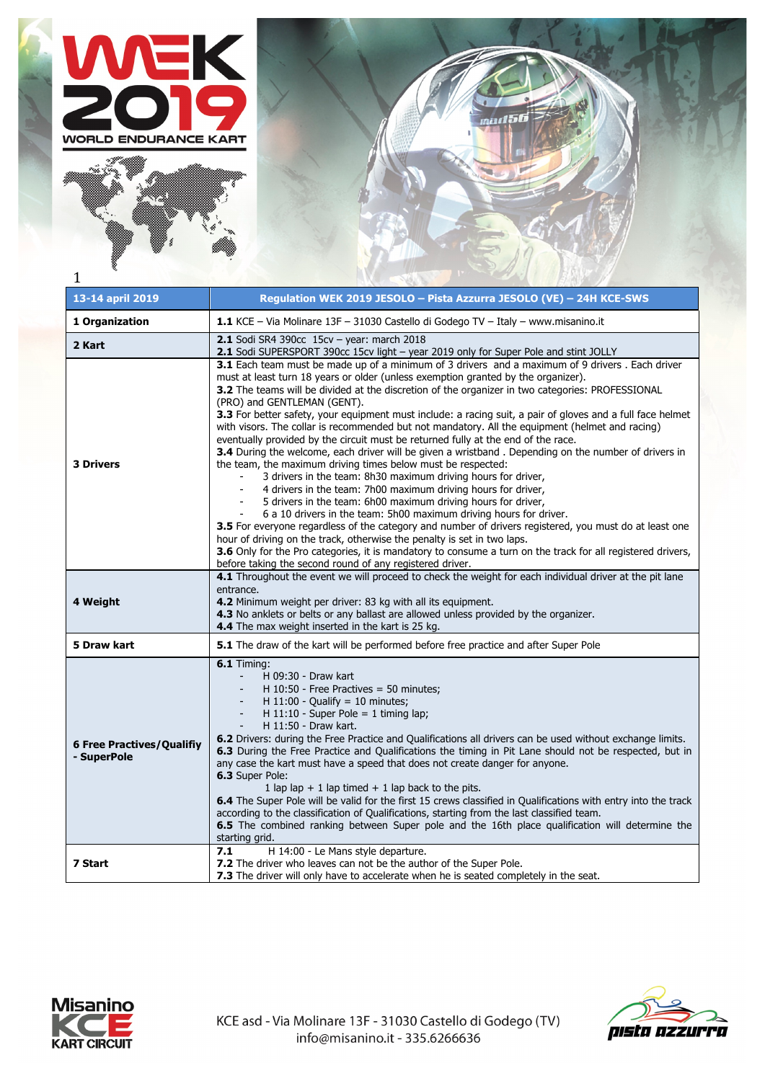





| 13-14 april 2019                                | Regulation WEK 2019 JESOLO - Pista Azzurra JESOLO (VE) - 24H KCE-SWS                                                                                                                                                                                                                                                                                                                                                                                                                                                                                                                                                                                                                                                                                                                                                                                                                                                                                                                                                                                                                                                                                                                                                                                                                                                                                                                                                                                                                                                                                                           |
|-------------------------------------------------|--------------------------------------------------------------------------------------------------------------------------------------------------------------------------------------------------------------------------------------------------------------------------------------------------------------------------------------------------------------------------------------------------------------------------------------------------------------------------------------------------------------------------------------------------------------------------------------------------------------------------------------------------------------------------------------------------------------------------------------------------------------------------------------------------------------------------------------------------------------------------------------------------------------------------------------------------------------------------------------------------------------------------------------------------------------------------------------------------------------------------------------------------------------------------------------------------------------------------------------------------------------------------------------------------------------------------------------------------------------------------------------------------------------------------------------------------------------------------------------------------------------------------------------------------------------------------------|
| 1 Organization                                  | 1.1 KCE - Via Molinare 13F - 31030 Castello di Godego TV - Italy - www.misanino.it                                                                                                                                                                                                                                                                                                                                                                                                                                                                                                                                                                                                                                                                                                                                                                                                                                                                                                                                                                                                                                                                                                                                                                                                                                                                                                                                                                                                                                                                                             |
| 2 Kart                                          | 2.1 Sodi SR4 390cc $15cv - year$ : march 2018<br>2.1 Sodi SUPERSPORT 390cc 15cv light - year 2019 only for Super Pole and stint JOLLY                                                                                                                                                                                                                                                                                                                                                                                                                                                                                                                                                                                                                                                                                                                                                                                                                                                                                                                                                                                                                                                                                                                                                                                                                                                                                                                                                                                                                                          |
| <b>3 Drivers</b>                                | 3.1 Each team must be made up of a minimum of 3 drivers and a maximum of 9 drivers . Each driver<br>must at least turn 18 years or older (unless exemption granted by the organizer).<br>3.2 The teams will be divided at the discretion of the organizer in two categories: PROFESSIONAL<br>(PRO) and GENTLEMAN (GENT).<br>3.3 For better safety, your equipment must include: a racing suit, a pair of gloves and a full face helmet<br>with visors. The collar is recommended but not mandatory. All the equipment (helmet and racing)<br>eventually provided by the circuit must be returned fully at the end of the race.<br><b>3.4</b> During the welcome, each driver will be given a wristband. Depending on the number of drivers in<br>the team, the maximum driving times below must be respected:<br>3 drivers in the team: 8h30 maximum driving hours for driver,<br>4 drivers in the team: 7h00 maximum driving hours for driver,<br>5 drivers in the team: 6h00 maximum driving hours for driver,<br>6 a 10 drivers in the team: 5h00 maximum driving hours for driver.<br>3.5 For everyone regardless of the category and number of drivers registered, you must do at least one<br>hour of driving on the track, otherwise the penalty is set in two laps.<br>3.6 Only for the Pro categories, it is mandatory to consume a turn on the track for all registered drivers,<br>before taking the second round of any registered driver.<br>4.1 Throughout the event we will proceed to check the weight for each individual driver at the pit lane<br>entrance. |
| 4 Weight                                        | 4.2 Minimum weight per driver: 83 kg with all its equipment.<br>4.3 No anklets or belts or any ballast are allowed unless provided by the organizer.<br>4.4 The max weight inserted in the kart is 25 kg.                                                                                                                                                                                                                                                                                                                                                                                                                                                                                                                                                                                                                                                                                                                                                                                                                                                                                                                                                                                                                                                                                                                                                                                                                                                                                                                                                                      |
| 5 Draw kart                                     | <b>5.1</b> The draw of the kart will be performed before free practice and after Super Pole                                                                                                                                                                                                                                                                                                                                                                                                                                                                                                                                                                                                                                                                                                                                                                                                                                                                                                                                                                                                                                                                                                                                                                                                                                                                                                                                                                                                                                                                                    |
| <b>6 Free Practives/Qualifiy</b><br>- SuperPole | <b>6.1 Timing:</b><br>H 09:30 - Draw kart<br>$\blacksquare$<br>H $10:50$ - Free Practives = 50 minutes;<br>H $11:00$ - Qualify = 10 minutes;<br>H 11:10 - Super Pole = 1 timing lap;<br>H 11:50 - Draw kart.<br>6.2 Drivers: during the Free Practice and Qualifications all drivers can be used without exchange limits.<br>6.3 During the Free Practice and Qualifications the timing in Pit Lane should not be respected, but in<br>any case the kart must have a speed that does not create danger for anyone.<br>6.3 Super Pole:<br>1 lap lap + 1 lap timed + 1 lap back to the pits.<br>6.4 The Super Pole will be valid for the first 15 crews classified in Qualifications with entry into the track<br>according to the classification of Qualifications, starting from the last classified team.<br>6.5 The combined ranking between Super pole and the 16th place qualification will determine the<br>starting grid.                                                                                                                                                                                                                                                                                                                                                                                                                                                                                                                                                                                                                                                |
| 7 Start                                         | 7.1<br>H 14:00 - Le Mans style departure.<br>7.2 The driver who leaves can not be the author of the Super Pole.<br><b>7.3</b> The driver will only have to accelerate when he is seated completely in the seat.                                                                                                                                                                                                                                                                                                                                                                                                                                                                                                                                                                                                                                                                                                                                                                                                                                                                                                                                                                                                                                                                                                                                                                                                                                                                                                                                                                |



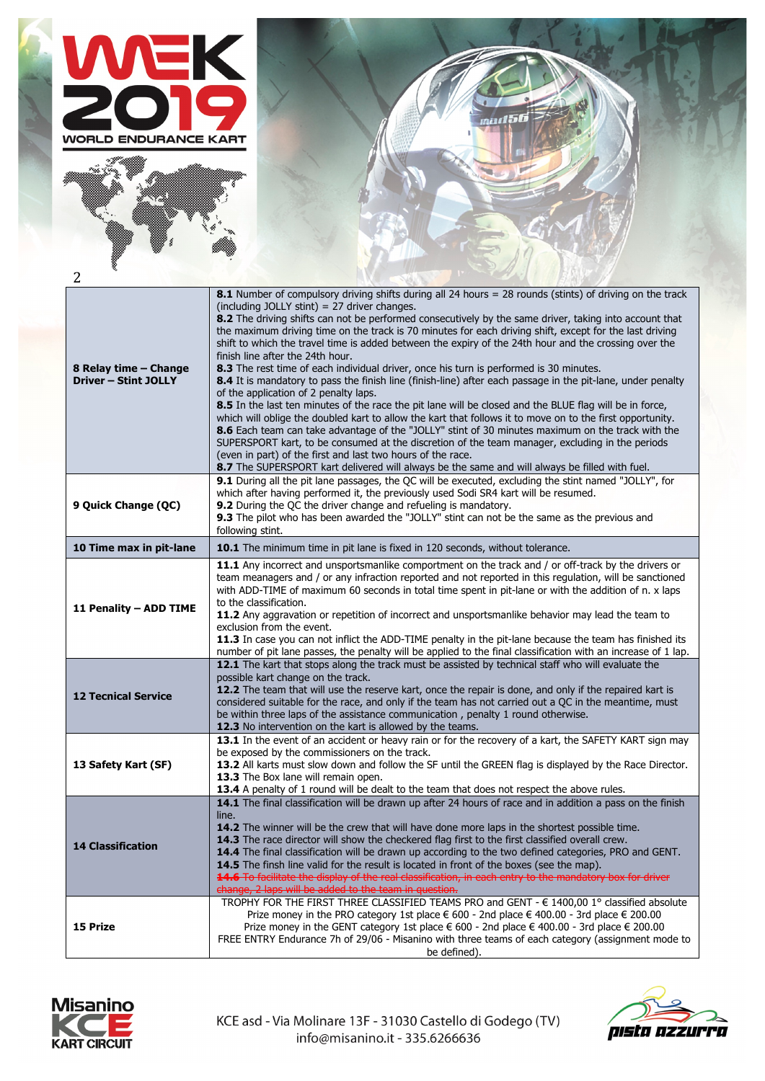





| 2                                                    |                                                                                                                                                                                                                                                                                                                                                                                                                                                                                                                                                                                                                                                                                                                                                                                                                                                                                                                                                                                                                                                                                                                                                                                                                                                                                                                                                                                 |
|------------------------------------------------------|---------------------------------------------------------------------------------------------------------------------------------------------------------------------------------------------------------------------------------------------------------------------------------------------------------------------------------------------------------------------------------------------------------------------------------------------------------------------------------------------------------------------------------------------------------------------------------------------------------------------------------------------------------------------------------------------------------------------------------------------------------------------------------------------------------------------------------------------------------------------------------------------------------------------------------------------------------------------------------------------------------------------------------------------------------------------------------------------------------------------------------------------------------------------------------------------------------------------------------------------------------------------------------------------------------------------------------------------------------------------------------|
| 8 Relay time - Change<br><b>Driver - Stint JOLLY</b> | 8.1 Number of compulsory driving shifts during all 24 hours = 28 rounds (stints) of driving on the track<br>(including JOLLY stint) = $27$ driver changes.<br>8.2 The driving shifts can not be performed consecutively by the same driver, taking into account that<br>the maximum driving time on the track is 70 minutes for each driving shift, except for the last driving<br>shift to which the travel time is added between the expiry of the 24th hour and the crossing over the<br>finish line after the 24th hour.<br>8.3 The rest time of each individual driver, once his turn is performed is 30 minutes.<br>8.4 It is mandatory to pass the finish line (finish-line) after each passage in the pit-lane, under penalty<br>of the application of 2 penalty laps.<br>8.5 In the last ten minutes of the race the pit lane will be closed and the BLUE flag will be in force,<br>which will oblige the doubled kart to allow the kart that follows it to move on to the first opportunity.<br>8.6 Each team can take advantage of the "JOLLY" stint of 30 minutes maximum on the track with the<br>SUPERSPORT kart, to be consumed at the discretion of the team manager, excluding in the periods<br>(even in part) of the first and last two hours of the race.<br>8.7 The SUPERSPORT kart delivered will always be the same and will always be filled with fuel. |
| 9 Quick Change (QC)                                  | 9.1 During all the pit lane passages, the QC will be executed, excluding the stint named "JOLLY", for<br>which after having performed it, the previously used Sodi SR4 kart will be resumed.<br>9.2 During the QC the driver change and refueling is mandatory.<br>9.3 The pilot who has been awarded the "JOLLY" stint can not be the same as the previous and<br>following stint.                                                                                                                                                                                                                                                                                                                                                                                                                                                                                                                                                                                                                                                                                                                                                                                                                                                                                                                                                                                             |
| 10 Time max in pit-lane                              | 10.1 The minimum time in pit lane is fixed in 120 seconds, without tolerance.                                                                                                                                                                                                                                                                                                                                                                                                                                                                                                                                                                                                                                                                                                                                                                                                                                                                                                                                                                                                                                                                                                                                                                                                                                                                                                   |
| 11 Penality - ADD TIME                               | 11.1 Any incorrect and unsportsmanlike comportment on the track and / or off-track by the drivers or<br>team meanagers and / or any infraction reported and not reported in this regulation, will be sanctioned<br>with ADD-TIME of maximum 60 seconds in total time spent in pit-lane or with the addition of n. x laps<br>to the classification.<br>11.2 Any aggravation or repetition of incorrect and unsportsmanlike behavior may lead the team to<br>exclusion from the event.<br>11.3 In case you can not inflict the ADD-TIME penalty in the pit-lane because the team has finished its<br>number of pit lane passes, the penalty will be applied to the final classification with an increase of 1 lap.                                                                                                                                                                                                                                                                                                                                                                                                                                                                                                                                                                                                                                                                |
| <b>12 Tecnical Service</b>                           | 12.1 The kart that stops along the track must be assisted by technical staff who will evaluate the<br>possible kart change on the track.<br>12.2 The team that will use the reserve kart, once the repair is done, and only if the repaired kart is<br>considered suitable for the race, and only if the team has not carried out a QC in the meantime, must<br>be within three laps of the assistance communication, penalty 1 round otherwise.<br>12.3 No intervention on the kart is allowed by the teams.                                                                                                                                                                                                                                                                                                                                                                                                                                                                                                                                                                                                                                                                                                                                                                                                                                                                   |
| 13 Safety Kart (SF)                                  | 13.1 In the event of an accident or heavy rain or for the recovery of a kart, the SAFETY KART sign may<br>be exposed by the commissioners on the track.<br>13.2 All karts must slow down and follow the SF until the GREEN flag is displayed by the Race Director.<br>13.3 The Box lane will remain open.<br>13.4 A penalty of 1 round will be dealt to the team that does not respect the above rules.                                                                                                                                                                                                                                                                                                                                                                                                                                                                                                                                                                                                                                                                                                                                                                                                                                                                                                                                                                         |
| <b>14 Classification</b>                             | 14.1 The final classification will be drawn up after 24 hours of race and in addition a pass on the finish<br>line.<br><b>14.2</b> The winner will be the crew that will have done more laps in the shortest possible time.<br>14.3 The race director will show the checkered flag first to the first classified overall crew.<br>14.4 The final classification will be drawn up according to the two defined categories, PRO and GENT.<br><b>14.5</b> The finsh line valid for the result is located in front of the boxes (see the map).<br>14.6 To facilitate the display of the real classification, in each entry to the mandatory box for driver<br>change, 2 laps will be added to the team in question.                                                                                                                                                                                                                                                                                                                                                                                                                                                                                                                                                                                                                                                                 |
| 15 Prize                                             | TROPHY FOR THE FIRST THREE CLASSIFIED TEAMS PRO and GENT - € 1400,00 1° classified absolute<br>Prize money in the PRO category 1st place € 600 - 2nd place € 400.00 - 3rd place € 200.00<br>Prize money in the GENT category 1st place € 600 - 2nd place € 400.00 - 3rd place € 200.00<br>FREE ENTRY Endurance 7h of 29/06 - Misanino with three teams of each category (assignment mode to<br>be defined).                                                                                                                                                                                                                                                                                                                                                                                                                                                                                                                                                                                                                                                                                                                                                                                                                                                                                                                                                                     |



KCE asd - Via Molinare 13F - 31030 Castello di Godego (TV) info@misanino.it - 335.6266636